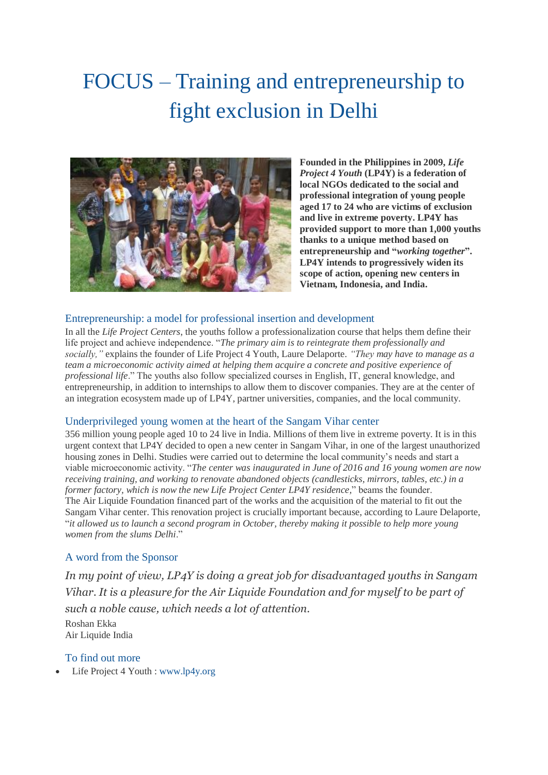# FOCUS – Training and entrepreneurship to fight exclusion in Delhi



**Founded in the Philippines in 2009,** *Life Project 4 Youth* **(LP4Y) is a federation of local NGOs dedicated to the social and professional integration of young people aged 17 to 24 who are victims of exclusion and live in extreme poverty. LP4Y has provided support to more than 1,000 youths thanks to a unique method based on entrepreneurship and "***working together***". LP4Y intends to progressively widen its scope of action, opening new centers in Vietnam, Indonesia, and India.**

# Entrepreneurship: a model for professional insertion and development

In all the *Life Project Centers*, the youths follow a professionalization course that helps them define their life project and achieve independence. "*The primary aim is to reintegrate them professionally and socially,"* explains the founder of Life Project 4 Youth, Laure Delaporte. *"They may have to manage as a team a microeconomic activity aimed at helping them acquire a concrete and positive experience of professional life*." The youths also follow specialized courses in English, IT, general knowledge, and entrepreneurship, in addition to internships to allow them to discover companies. They are at the center of an integration ecosystem made up of LP4Y, partner universities, companies, and the local community.

### Underprivileged young women at the heart of the Sangam Vihar center

356 million young people aged 10 to 24 live in India. Millions of them live in extreme poverty. It is in this urgent context that LP4Y decided to open a new center in Sangam Vihar, in one of the largest unauthorized housing zones in Delhi. Studies were carried out to determine the local community's needs and start a viable microeconomic activity. "*The center was inaugurated in June of 2016 and 16 young women are now receiving training, and working to renovate abandoned objects (candlesticks, mirrors, tables, etc.) in a former factory, which is now the new Life Project Center LP4Y residence,*" beams the founder. The Air Liquide Foundation financed part of the works and the acquisition of the material to fit out the Sangam Vihar center. This renovation project is crucially important because, according to Laure Delaporte, "it allowed us to launch a second program in October, thereby making it possible to help more young *women from the slums Delhi*."

# A word from the Sponsor

*In my point of view, LP4Y is doing a great job for disadvantaged youths in Sangam Vihar. It is a pleasure for the Air Liquide Foundation and for myself to be part of such a noble cause, which needs a lot of attention.*

Roshan Ekka Air Liquide India

### To find out more

• Life Project 4 Youth : [www.lp4y.org](http://www.lp4y.org/)